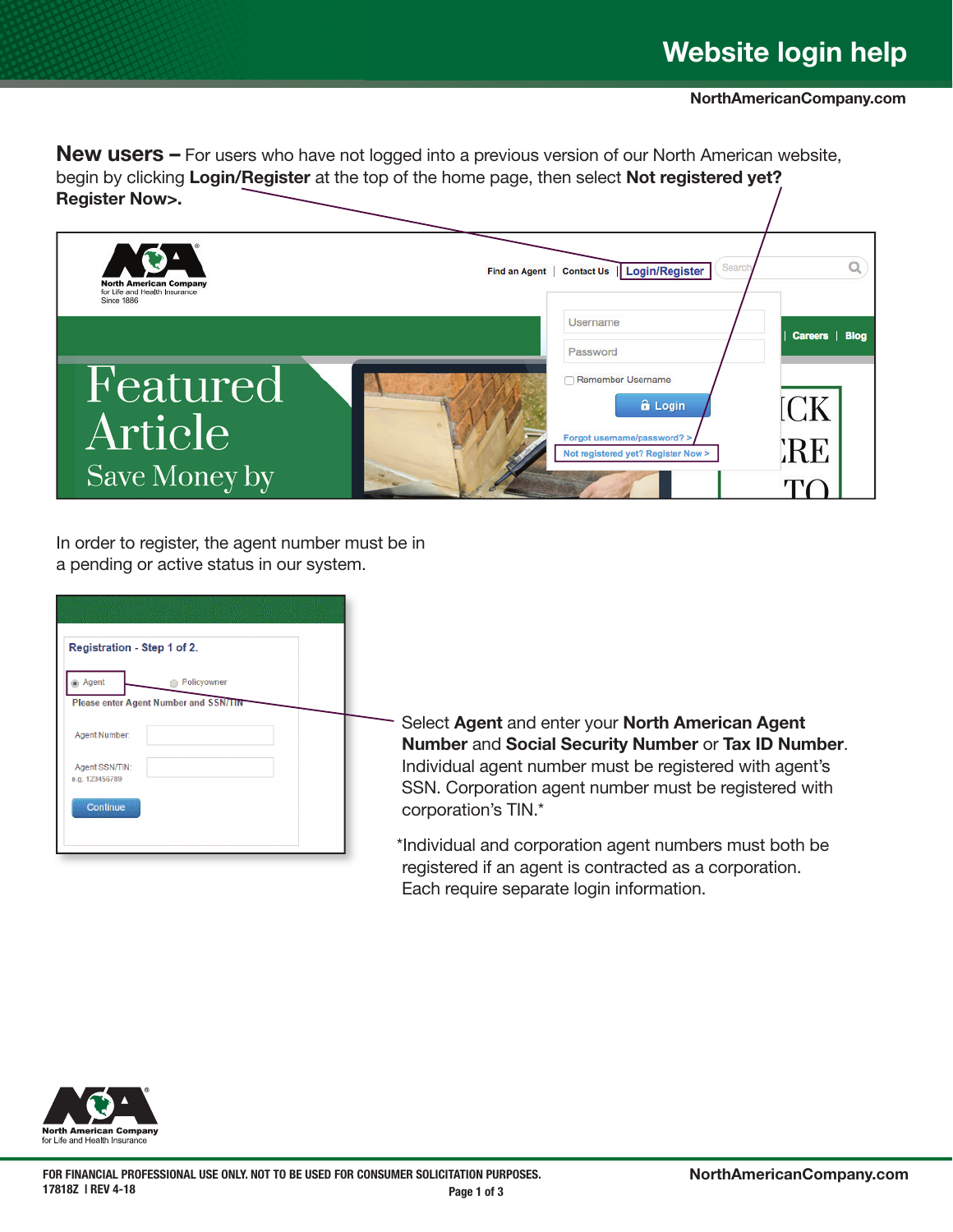**New users –** For users who have not logged into a previous version of our North American website, begin by clicking Login/Register at the top of the home page, then select Not registered yet? Register Now>.



In order to register, the agent number must be in a pending or active status in our system.

| Registration - Step 1 of 2.                                        |  |
|--------------------------------------------------------------------|--|
| Agent<br>Policyowner<br>⋒<br>Please enter Agent Number and SSN/TIN |  |
| Agent Number:                                                      |  |
| Agent SSN/TIN:<br>e.g. 123456789                                   |  |
| Continue                                                           |  |
|                                                                    |  |

Select Agent and enter your North American Agent Number and Social Security Number or Tax ID Number. Individual agent number must be registered with agent's SSN. Corporation agent number must be registered with corporation's TIN.\*

\*Individual and corporation agent numbers must both be registered if an agent is contracted as a corporation. Each require separate login information.

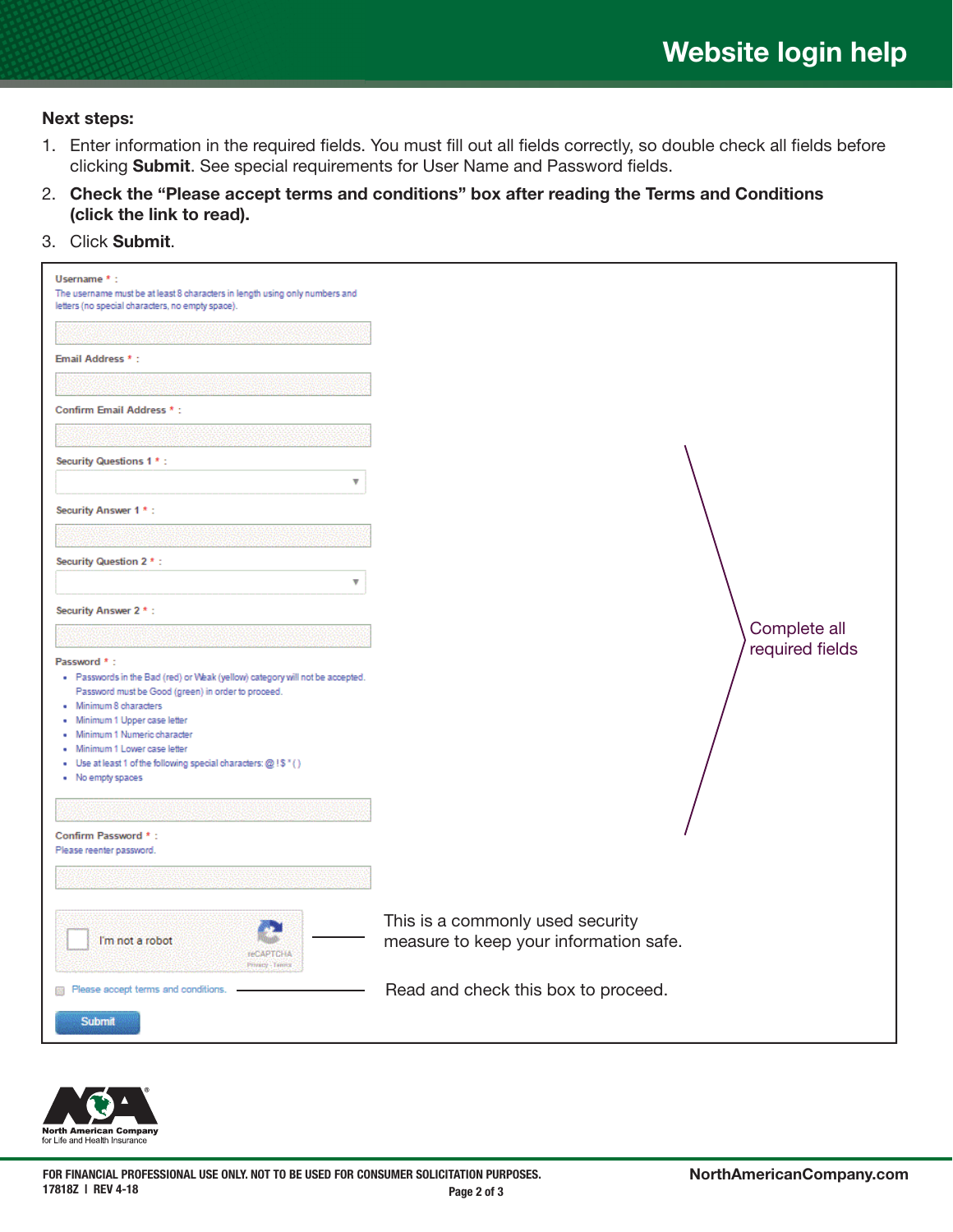## Next steps:

- 1. Enter information in the required fields. You must fill out all fields correctly, so double check all fields before clicking Submit. See special requirements for User Name and Password fields.
- 2. Check the "Please accept terms and conditions" box after reading the Terms and Conditions (click the link to read).
- 3. Click Submit.